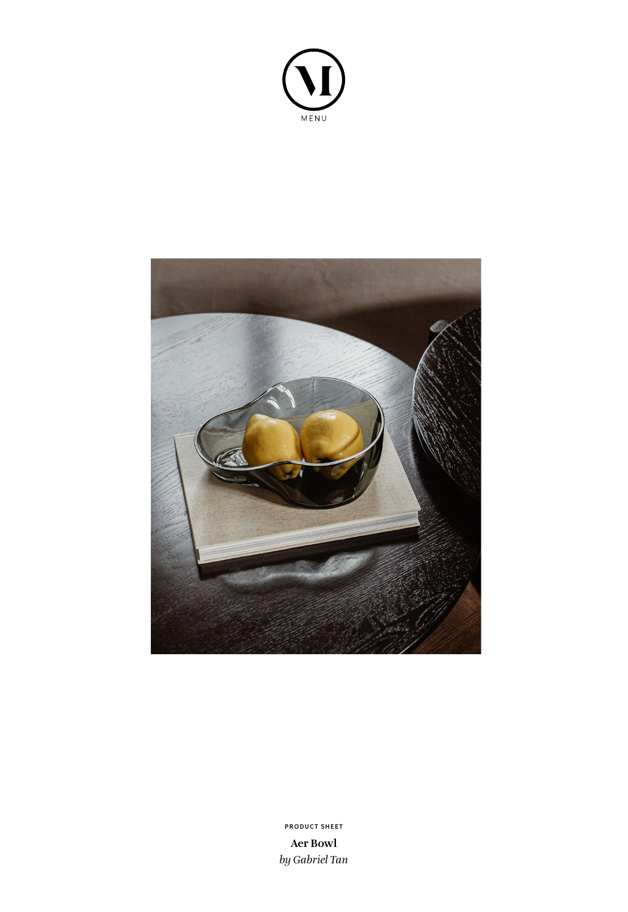



**Aer Bowl** *by Gabriel Tan* **PRODUCT SHEET**